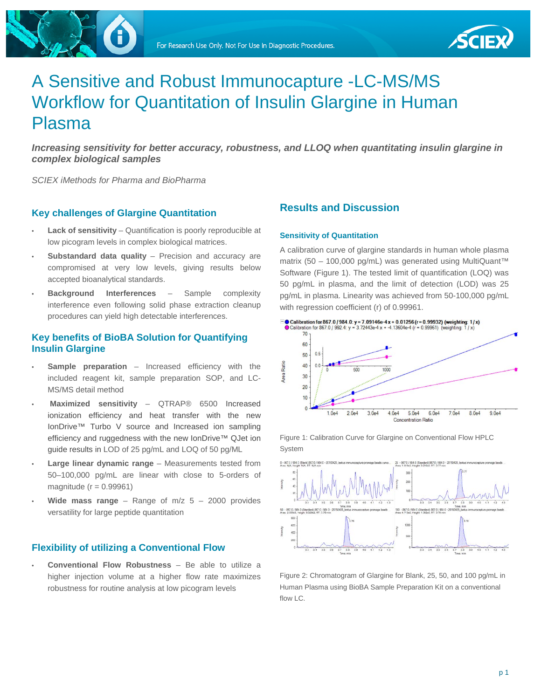

# A Sensitive and Robust Immunocapture -LC-MS/MS Workflow for Quantitation of Insulin Glargine in Human Plasma

*Increasing sensitivity for better accuracy, robustness, and LLOQ when quantitating insulin glargine in complex biological samples*

*SCIEX iMethods for Pharma and BioPharma*

#### **Key challenges of Glargine Quantitation**

- **Lack of sensitivity** Quantification is poorly reproducible at low picogram levels in complex biological matrices.
- **Substandard data quality** Precision and accuracy are compromised at very low levels, giving results below accepted bioanalytical standards.
- **Background Interferences** Sample complexity interference even following solid phase extraction cleanup procedures can yield high detectable interferences.

### **Key benefits of BioBA Solution for Quantifying Insulin Glargine**

- **Sample preparation** Increased efficiency with the included reagent kit, sample preparation SOP, and LC-MS/MS detail method
- **Maximized sensitivity**  QTRAP® 6500 Increased ionization efficiency and heat transfer with the new IonDrive™ Turbo V source and Increased ion sampling efficiency and ruggedness with the new IonDrive™ QJet ion guide results in LOD of 25 pg/mL and LOQ of 50 pg/ML
- **Large linear dynamic range** Measurements tested from 50–100,000 pg/mL are linear with close to 5-orders of magnitude ( $r = 0.99961$ )
- **Wide mass range** Range of  $m/z$  5 2000 provides versatility for large peptide quantitation

#### **Flexibility of utilizing a Conventional Flow**

• **Conventional Flow Robustness** – Be able to utilize a higher injection volume at a higher flow rate maximizes robustness for routine analysis at low picogram levels

### **Results and Discussion**

#### **Sensitivity of Quantitation**

A calibration curve of glargine standards in human whole plasma matrix (50 – 100,000 pg/mL) was generated using MultiQuant™ Software (Figure 1). The tested limit of quantification (LOQ) was 50 pg/mL in plasma, and the limit of detection (LOD) was 25 pg/mL in plasma. Linearity was achieved from 50-100,000 pg/mL with regression coefficient (r) of 0.99961.



Figure 1: Calibration Curve for Glargine on Conventional Flow HPLC System



Figure 2: Chromatogram of Glargine for Blank, 25, 50, and 100 pg/mL in Human Plasma using BioBA Sample Preparation Kit on a conventional flow LC.